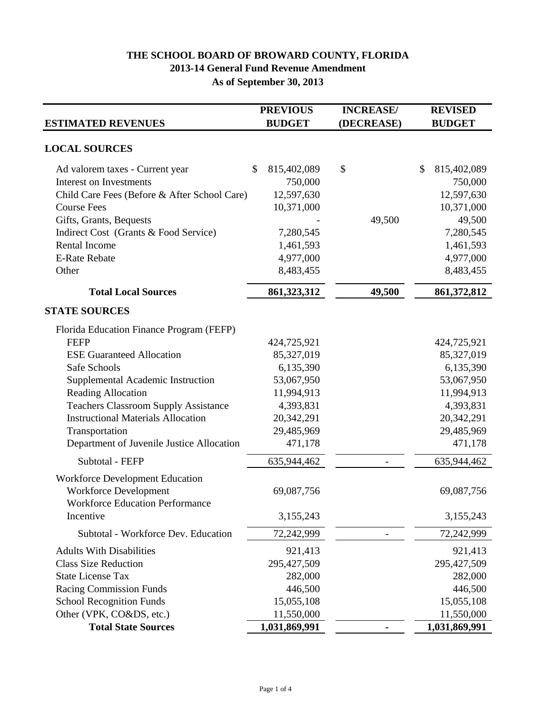## **As of September 30, 2013 2013-14 General Fund Revenue Amendment THE SCHOOL BOARD OF BROWARD COUNTY, FLORIDA**

|                                              | <b>PREVIOUS</b>   | <b>INCREASE/</b> | <b>REVISED</b>    |
|----------------------------------------------|-------------------|------------------|-------------------|
| <b>ESTIMATED REVENUES</b>                    | <b>BUDGET</b>     | (DECREASE)       | <b>BUDGET</b>     |
| <b>LOCAL SOURCES</b>                         |                   |                  |                   |
| Ad valorem taxes - Current year              | \$<br>815,402,089 | \$               | \$<br>815,402,089 |
| <b>Interest on Investments</b>               | 750,000           |                  | 750,000           |
| Child Care Fees (Before & After School Care) | 12,597,630        |                  | 12,597,630        |
| <b>Course Fees</b>                           | 10,371,000        |                  | 10,371,000        |
| Gifts, Grants, Bequests                      |                   | 49,500           | 49,500            |
| Indirect Cost (Grants & Food Service)        | 7,280,545         |                  | 7,280,545         |
| <b>Rental Income</b>                         | 1,461,593         |                  | 1,461,593         |
| <b>E-Rate Rebate</b>                         | 4,977,000         |                  | 4,977,000         |
| Other                                        | 8,483,455         |                  | 8,483,455         |
| <b>Total Local Sources</b>                   | 861,323,312       | 49,500           | 861, 372, 812     |
| <b>STATE SOURCES</b>                         |                   |                  |                   |
| Florida Education Finance Program (FEFP)     |                   |                  |                   |
| <b>FEFP</b>                                  | 424,725,921       |                  | 424,725,921       |
| <b>ESE Guaranteed Allocation</b>             | 85,327,019        |                  | 85,327,019        |
| Safe Schools                                 | 6,135,390         |                  | 6,135,390         |
| Supplemental Academic Instruction            | 53,067,950        |                  | 53,067,950        |
| Reading Allocation                           | 11,994,913        |                  | 11,994,913        |
| <b>Teachers Classroom Supply Assistance</b>  | 4,393,831         |                  | 4,393,831         |
| <b>Instructional Materials Allocation</b>    | 20,342,291        |                  | 20,342,291        |
| Transportation                               | 29,485,969        |                  | 29,485,969        |
| Department of Juvenile Justice Allocation    | 471,178           |                  | 471,178           |
| Subtotal - FEFP                              | 635,944,462       |                  | 635,944,462       |
| <b>Workforce Development Education</b>       |                   |                  |                   |
| <b>Workforce Development</b>                 | 69,087,756        |                  | 69,087,756        |
| <b>Workforce Education Performance</b>       |                   |                  |                   |
| Incentive                                    | 3,155,243         |                  | 3,155,243         |
| Subtotal - Workforce Dev. Education          | 72,242,999        |                  | 72,242,999        |
| <b>Adults With Disabilities</b>              | 921,413           |                  | 921,413           |
| <b>Class Size Reduction</b>                  | 295,427,509       |                  | 295,427,509       |
| <b>State License Tax</b>                     | 282,000           |                  | 282,000           |
| Racing Commission Funds                      | 446,500           |                  | 446,500           |
| <b>School Recognition Funds</b>              | 15,055,108        |                  | 15,055,108        |
| Other (VPK, CO&DS, etc.)                     | 11,550,000        |                  | 11,550,000        |
| <b>Total State Sources</b>                   | 1,031,869,991     |                  | 1,031,869,991     |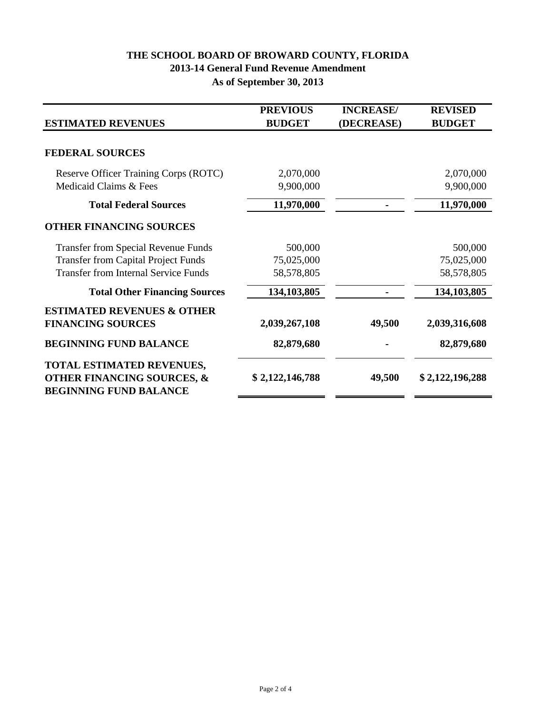## **As of September 30, 2013 2013-14 General Fund Revenue Amendment THE SCHOOL BOARD OF BROWARD COUNTY, FLORIDA**

| <b>ESTIMATED REVENUES</b>                                                                                                               | <b>PREVIOUS</b><br><b>BUDGET</b>    | <b>INCREASE/</b><br>(DECREASE) | <b>REVISED</b><br><b>BUDGET</b>     |
|-----------------------------------------------------------------------------------------------------------------------------------------|-------------------------------------|--------------------------------|-------------------------------------|
| <b>FEDERAL SOURCES</b>                                                                                                                  |                                     |                                |                                     |
| Reserve Officer Training Corps (ROTC)<br>Medicaid Claims & Fees                                                                         | 2,070,000<br>9,900,000              |                                | 2,070,000<br>9,900,000              |
| <b>Total Federal Sources</b>                                                                                                            | 11,970,000                          |                                | 11,970,000                          |
| <b>OTHER FINANCING SOURCES</b>                                                                                                          |                                     |                                |                                     |
| <b>Transfer from Special Revenue Funds</b><br><b>Transfer from Capital Project Funds</b><br><b>Transfer from Internal Service Funds</b> | 500,000<br>75,025,000<br>58,578,805 |                                | 500,000<br>75,025,000<br>58,578,805 |
| <b>Total Other Financing Sources</b>                                                                                                    | 134,103,805                         |                                | 134,103,805                         |
| <b>ESTIMATED REVENUES &amp; OTHER</b><br><b>FINANCING SOURCES</b>                                                                       | 2,039,267,108                       | 49,500                         | 2,039,316,608                       |
| <b>BEGINNING FUND BALANCE</b>                                                                                                           | 82,879,680                          |                                | 82,879,680                          |
| TOTAL ESTIMATED REVENUES,<br><b>OTHER FINANCING SOURCES, &amp;</b><br><b>BEGINNING FUND BALANCE</b>                                     | \$2,122,146,788                     | 49,500                         | \$2,122,196,288                     |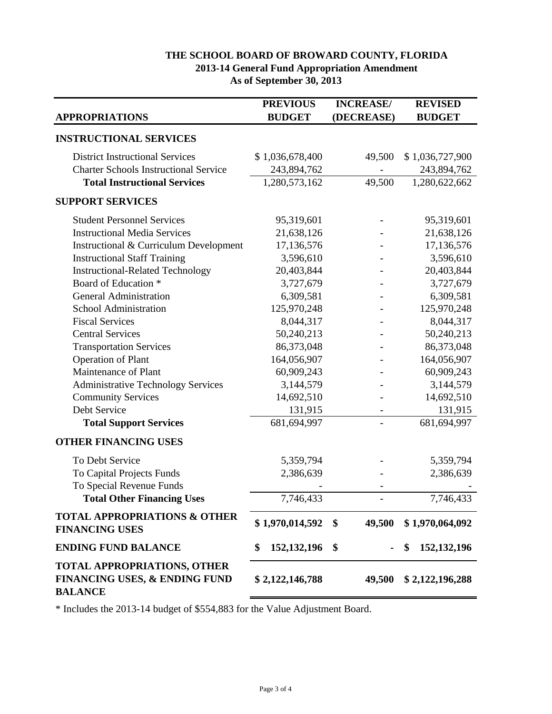## **THE SCHOOL BOARD OF BROWARD COUNTY, FLORIDA 2013-14 General Fund Appropriation Amendment As of September 30, 2013**

|                                                                                                  | <b>PREVIOUS</b>     | <b>INCREASE/</b> | <b>REVISED</b>      |
|--------------------------------------------------------------------------------------------------|---------------------|------------------|---------------------|
| <b>APPROPRIATIONS</b>                                                                            | <b>BUDGET</b>       | (DECREASE)       | <b>BUDGET</b>       |
| <b>INSTRUCTIONAL SERVICES</b>                                                                    |                     |                  |                     |
| <b>District Instructional Services</b>                                                           | \$1,036,678,400     | 49,500           | \$1,036,727,900     |
| <b>Charter Schools Instructional Service</b>                                                     | 243,894,762         |                  | 243,894,762         |
| <b>Total Instructional Services</b>                                                              | 1,280,573,162       | 49,500           | 1,280,622,662       |
| <b>SUPPORT SERVICES</b>                                                                          |                     |                  |                     |
| <b>Student Personnel Services</b>                                                                | 95,319,601          |                  | 95,319,601          |
| <b>Instructional Media Services</b>                                                              | 21,638,126          |                  | 21,638,126          |
| Instructional & Curriculum Development                                                           | 17,136,576          |                  | 17,136,576          |
| <b>Instructional Staff Training</b>                                                              | 3,596,610           |                  | 3,596,610           |
| <b>Instructional-Related Technology</b>                                                          | 20,403,844          |                  | 20,403,844          |
| Board of Education *                                                                             | 3,727,679           |                  | 3,727,679           |
| <b>General Administration</b>                                                                    | 6,309,581           |                  | 6,309,581           |
| School Administration                                                                            | 125,970,248         |                  | 125,970,248         |
| <b>Fiscal Services</b>                                                                           | 8,044,317           |                  | 8,044,317           |
| <b>Central Services</b>                                                                          | 50,240,213          |                  | 50,240,213          |
| <b>Transportation Services</b>                                                                   | 86,373,048          |                  | 86,373,048          |
| Operation of Plant                                                                               | 164,056,907         |                  | 164,056,907         |
| Maintenance of Plant                                                                             | 60,909,243          |                  | 60,909,243          |
| <b>Administrative Technology Services</b>                                                        | 3,144,579           |                  | 3,144,579           |
| <b>Community Services</b>                                                                        | 14,692,510          |                  | 14,692,510          |
| Debt Service                                                                                     | 131,915             |                  | 131,915             |
| <b>Total Support Services</b>                                                                    | 681,694,997         |                  | 681,694,997         |
| <b>OTHER FINANCING USES</b>                                                                      |                     |                  |                     |
| To Debt Service                                                                                  | 5,359,794           |                  | 5,359,794           |
| To Capital Projects Funds                                                                        | 2,386,639           |                  | 2,386,639           |
| To Special Revenue Funds                                                                         |                     |                  |                     |
| <b>Total Other Financing Uses</b>                                                                | 7,746,433           |                  | 7,746,433           |
| <b>TOTAL APPROPRIATIONS &amp; OTHER</b><br><b>FINANCING USES</b>                                 | \$1,970,014,592     | 49,500<br>\$     | \$1,970,064,092     |
| <b>ENDING FUND BALANCE</b>                                                                       | \$<br>152, 132, 196 | \$               | 152, 132, 196<br>\$ |
| <b>TOTAL APPROPRIATIONS, OTHER</b><br><b>FINANCING USES, &amp; ENDING FUND</b><br><b>BALANCE</b> | \$2,122,146,788     | 49,500           | \$2,122,196,288     |

\* Includes the 2013-14 budget of \$554,883 for the Value Adjustment Board.